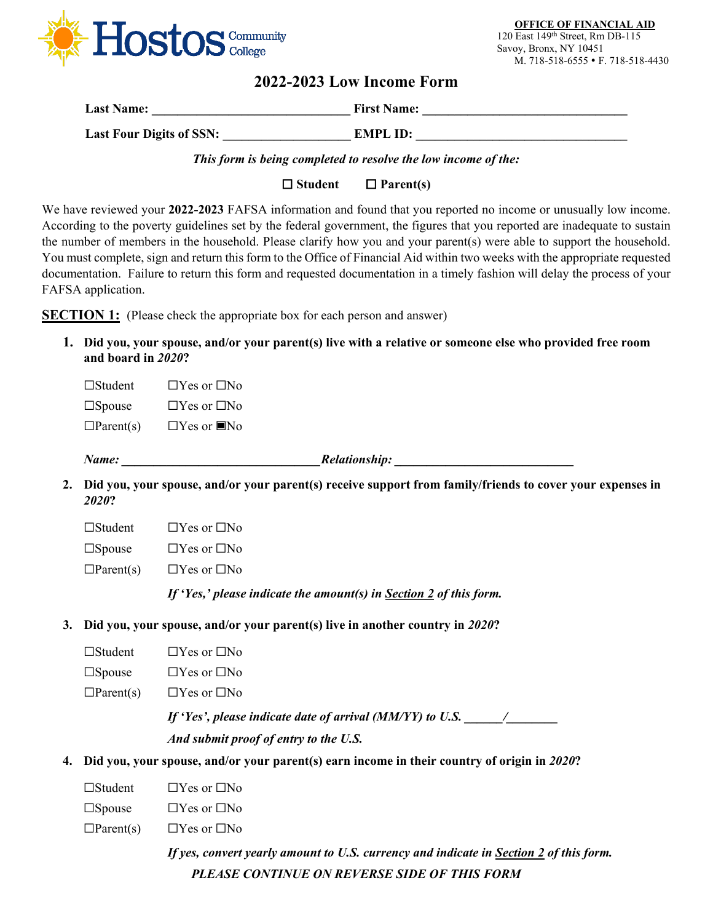

**OFFICE OF FINANCIAL AID** 120 East 149th Street, Rm DB-115 Savoy, Bronx, NY 10451 M. 718-518-6555 • F. 718-518-4430

## **2022-2023 Low Income Form**

| <b>Last Name:</b>               | <b>First Name:</b> |
|---------------------------------|--------------------|
| <b>Last Four Digits of SSN:</b> | EMPL ID:           |

*This form is being completed to resolve the low income of the:*

**Student Parent(s)**

We have reviewed your **2022-2023** FAFSA information and found that you reported no income or unusually low income. According to the poverty guidelines set by the federal government, the figures that you reported are inadequate to sustain the number of members in the household. Please clarify how you and your parent(s) were able to support the household. You must complete, sign and return this form to the Office of Financial Aid within two weeks with the appropriate requested documentation. Failure to return this form and requested documentation in a timely fashion will delay the process of your FAFSA application.

**SECTION 1:** (Please check the appropriate box for each person and answer)

**1. Did you, your spouse, and/or your parent(s) live with a relative or someone else who provided free room and board in** *2020***?**

☐Student ☐Yes or ☐No  $\square$ Spouse  $\square$  Yes or  $\square$ No  $\Box$ Parent(s)  $\Box$  Yes or  $\Box$  No

*Name: \_\_\_\_\_\_\_\_\_\_\_\_\_\_\_\_\_\_\_\_\_\_\_\_\_\_\_\_\_\_\_Relationship: \_\_\_\_\_\_\_\_\_\_\_\_\_\_\_\_\_\_\_\_\_\_\_\_\_\_\_\_*

**2. Did you, your spouse, and/or your parent(s) receive support from family/friends to cover your expenses in** *2020***?**

| $\Box$ Student | $\Box$ Yes or $\Box$ No |
|----------------|-------------------------|
|                |                         |

☐Spouse ☐Yes or ☐No

 $\Box$ Parent(s)  $\Box$  Yes or  $\Box$  No

*If 'Yes,' please indicate the amount(s) in Section 2 of this form.*

- **3. Did you, your spouse, and/or your parent(s) live in another country in** *2020***?**
	- ☐Student ☐Yes or ☐No
	- ☐Spouse ☐Yes or ☐No
	- $\Box$ Parent(s)  $\Box$  Yes or  $\Box$  No

*If 'Yes', please indicate date of arrival (MM/YY) to U.S. \_\_\_\_\_/\_\_\_\_\_\_\_* 

*And submit proof of entry to the U.S.*

- **4. Did you, your spouse, and/or your parent(s) earn income in their country of origin in** *2020***?**
	- ☐Student ☐Yes or ☐No
	- $\square$ Spouse  $\square$  Yes or  $\square$  No
	- $\Box$ Parent(s)  $\Box$  Yes or  $\Box$  No

*PLEASE CONTINUE ON REVERSE SIDE OF THIS FORM If yes, convert yearly amount to U.S. currency and indicate in Section 2 of this form.*